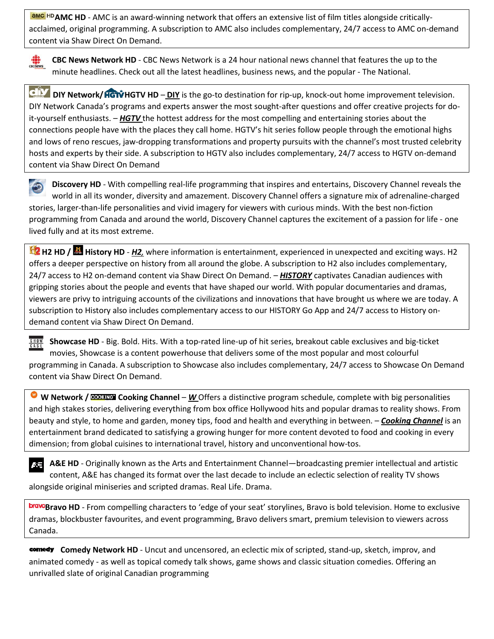**AMC HD** AMC HD - AMC is an award-winning network that offers an extensive list of film titles alongside criticallyacclaimed, original programming. A subscription to AMC also includes complementary, 24/7 access to AMC on-demand content via [Shaw Direct On Demand.](https://shawdirect.vod.shaw.ca/tv/AMC/)



**CBC News Network HD** - CBC News Network is a 24 hour national news channel that features the up to the minute headlines. Check out all the latest headlines, business news, and the popular - The National.

**DIY Network/ HGTV HD** – **DIY** is the go-to destination for rip-up, knock-out home improvement television. DIY Network Canada's programs and experts answer the most sought-after questions and offer creative projects for doit-yourself enthusiasts. – *HGTV* the hottest address for the most compelling and entertaining stories about the connections people have with the places they call home. HGTV's hit series follow people through the emotional highs and lows of reno rescues, jaw-dropping transformations and property pursuits with the channel's most trusted celebrity hosts and experts by their side. A subscription to HGTV also includes complementary, 24/7 access to HGTV on-demand content via [Shaw Direct On Demand](https://shawdirect.vod.shaw.ca/tv/HGTV/)

**Discovery HD** - With compelling real-life programming that inspires and entertains, Discovery Channel reveals the world in all its wonder, diversity and amazement. Discovery Channel offers a signature mix of adrenaline-charged stories, larger-than-life personalities and vivid imagery for viewers with curious minds. With the best non-fiction programming from Canada and around the world, Discovery Channel captures the excitement of a passion for life - one lived fully and at its most extreme.

**H2 HD / History HD** - *H2,* where information is entertainment, experienced in unexpected and exciting ways. H2 offers a deeper perspective on history from all around the globe. A subscription to H2 also includes complementary, 24/7 access to H2 on-demand content via [Shaw Direct On Demand.](https://shawdirect.vod.shaw.ca/tv/H2/) – *HISTORY* captivates Canadian audiences with gripping stories about the people and events that have shaped our world. With popular documentaries and dramas, viewers are privy to intriguing accounts of the civilizations and innovations that have brought us where we are today. A subscription to History also includes complementary access to our [HISTORY Go App](https://thepipe.sjrb.ca/docs/DOC-25168) and 24/7 access to History ondemand content via [Shaw Direct On Demand.](https://thepipe.sjrb.ca/external-link.jspa?url=https%3A%2F%2Fshawdirect.vod.shaw.ca%2Ftv%2FHistoryTelevision%2F)

**Showcase HD** - Big. Bold. Hits. With a top-rated line-up of hit series, breakout cable exclusives and big-ticket  $5HOW$ movies, Showcase is a content powerhouse that delivers some of the most popular and most colourful programming in Canada. A subscription to Showcase also includes complementary, 24/7 access to Showcase On Demand content via [Shaw Direct On Demand](https://shawdirect.vod.shaw.ca/tv/Showcase/).

**W W Network / <b>ECOURG** Cooking Channel – W Offers a distinctive program schedule, complete with big personalities and high stakes stories, delivering everything from box office Hollywood hits and popular dramas to reality shows. From beauty and style, to home and garden, money tips, food and health and everything in between. – *Cooking Channel* is an entertainment brand dedicated to satisfying a growing hunger for more content devoted to food and cooking in every dimension; from global cuisines to international travel, history and unconventional how-tos.

**A&E HD** - Originally known as the Arts and Entertainment Channel—broadcasting premier intellectual and artistic 來事 content, A&E has changed its format over the last decade to include an eclectic selection of reality TV shows alongside original miniseries and scripted dramas. Real Life. Drama.

**Bravo HD** - From compelling characters to 'edge of your seat' storylines, Bravo is bold television. Home to exclusive dramas, blockbuster favourites, and event programming, Bravo delivers smart, premium television to viewers across Canada.

**comedy** Comedy Network HD - Uncut and uncensored, an eclectic mix of scripted, stand-up, sketch, improv, and animated comedy - as well as topical comedy talk shows, game shows and classic situation comedies. Offering an unrivalled slate of original Canadian programming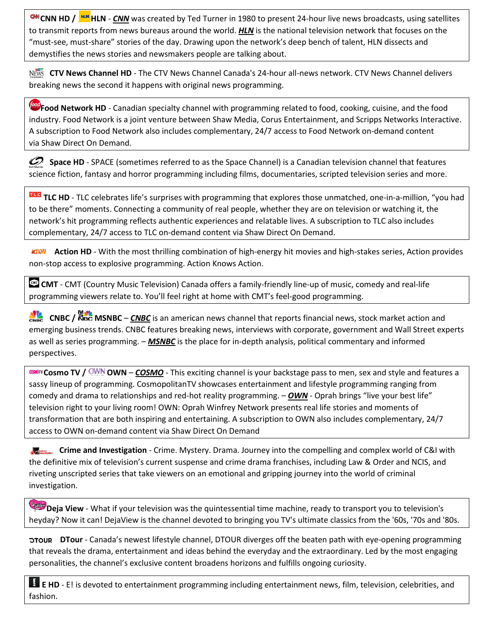**CNN HD / HN**HLN - CNN was created by Ted Turner in 1980 to present 24-hour live news broadcasts, using satellites to transmit reports from news bureaus around the world. *HLN* is the national television network that focuses on the "must-see, must-share" stories of the day. Drawing upon the network's deep bench of talent, HLN dissects and demystifies the news stories and newsmakers people are talking about.

**NEWS CTV News Channel HD** - The CTV News Channel Canada's 24-hour all-news network. CTV News Channel delivers breaking news the second it happens with original news programming.

**Food Network HD** - Canadian specialty channel with programming related to food, cooking, cuisine, and the food industry. Food Network is a joint venture between Shaw Media, Corus Entertainment, and Scripps Networks Interactive. A subscription to Food Network also includes complementary, 24/7 access to Food Network on-demand content via [Shaw Direct On Demand.](https://shawdirect.vod.shaw.ca/tv/FoodNetwork/)

**Space HD** - SPACE (sometimes referred to as the Space Channel) is a Canadian television channel that features science fiction, fantasy and horror programming including films, documentaries, scripted television series and more.

**TIG** TLC HD - TLC celebrates life's surprises with programming that explores those unmatched, one-in-a-million, "you had to be there" moments. Connecting a community of real people, whether they are on television or watching it, the network's hit programming reflects authentic experiences and relatable lives. A subscription to TLC also includes complementary, 24/7 access to TLC on-demand content via [Shaw Direct On Demand.](https://shawdirect.vod.shaw.ca/tv/TLC/)

**ACTRORE Action HD** - With the most thrilling combination of high-energy hit movies and high-stakes series, Action provides non-stop access to explosive programming. Action Knows Action.

**CMT** - CMT (Country Music Television) Canada offers a family-friendly line-up of music, comedy and real-life programming viewers relate to. You'll feel right at home with CMT's feel-good programming.

**CNBC / NBC** MINBC – *CNBC* is an american news channel that reports financial news, stock market action and emerging business trends. CNBC features breaking news, interviews with corporate, government and Wall Street experts as well as series programming. – *MSNBC* is the place for in-depth analysis, political commentary and informed perspectives.

**COSMOT TO AND ART – COSMO** - This exciting channel is your backstage pass to men, sex and style and features a sassy lineup of programming. CosmopolitanTV showcases entertainment and lifestyle programming ranging from comedy and drama to relationships and red-hot reality programming. – *OWN* - Oprah brings "live your best life" television right to your living room! OWN: Oprah Winfrey Network presents real life stories and moments of transformation that are both inspiring and entertaining. A subscription to OWN also includes complementary, 24/7 access to OWN on-demand content via [Shaw Direct On Demand](https://shawdirect.vod.shaw.ca/tv/OWN/)

**Crime and Investigation** - Crime. Mystery. Drama. Journey into the compelling and complex world of C&I with the definitive mix of television's current suspense and crime drama franchises, including Law & Order and NCIS, and riveting unscripted series that take viewers on an emotional and gripping journey into the world of criminal investigation.

**Deja View** - What if your television was the quintessential time machine, ready to transport you to television's heyday? Now it can! DejaView is the channel devoted to bringing you TV's ultimate classics from the '60s, '70s and '80s.

**DTour** - Canada's newest lifestyle channel, DTOUR diverges off the beaten path with eye-opening programming that reveals the drama, entertainment and ideas behind the everyday and the extraordinary. Led by the most engaging personalities, the channel's exclusive content broadens horizons and fulfills ongoing curiosity.

**E E HD** - E! is devoted to entertainment programming including entertainment news, film, television, celebrities, and fashion.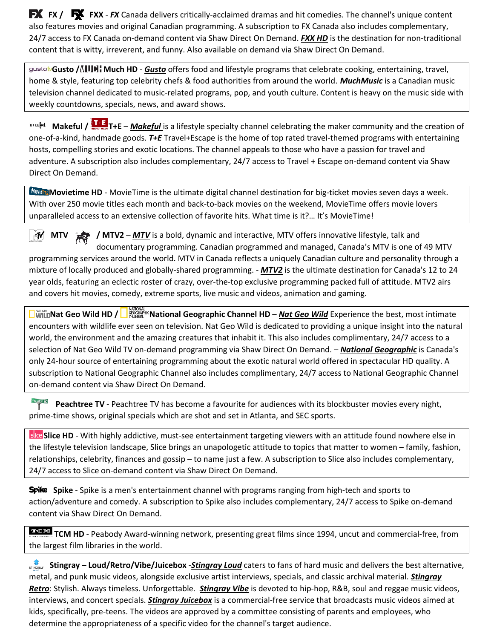**FX FX / FX FXX** - *FX* Canada delivers critically-acclaimed dramas and hit comedies. The channel's unique content also features movies and original Canadian programming. A subscription to FX Canada also includes complementary, 24/7 access to FX Canada on-demand content via [Shaw Direct On Demand.](https://shawdirect.vod.shaw.ca/tv/FXCanada/) *FXX HD* is the destination for non-traditional content that is witty, irreverent, and funny. Also available on demand via [Shaw Direct On Demand.](https://shawdirect.vod.shaw.ca/tv/FXCanada/)

**Gusto / Much HD** - *Gusto* offers food and lifestyle programs that celebrate cooking, entertaining, travel, home & style, featuring top celebrity chefs & food authorities from around the world. *MuchMusic* is a Canadian music television channel dedicated to music-related programs, pop, and youth culture. Content is heavy on the music side with weekly countdowns, specials, news, and award shows.

**Makeful / THE** T+E – *Makeful* is a lifestyle specialty channel celebrating the maker community and the creation of one-of-a-kind, handmade goods. *T+E* Travel+Escape is the home of top rated travel-themed programs with entertaining hosts, compelling stories and exotic locations. The channel appeals to those who have a passion for travel and adventure. A subscription also includes complementary, 24/7 access to Travel + Escape on-demand content via [Shaw](https://shawdirect.vod.shaw.ca/tv/TravelEscape/)  [Direct On Demand.](https://shawdirect.vod.shaw.ca/tv/TravelEscape/)

Movietime HD - MovieTime is the ultimate digital channel destination for big-ticket movies seven days a week. With over 250 movie titles each month and back-to-back movies on the weekend, MovieTime offers movie lovers unparalleled access to an extensive collection of favorite hits. What time is it?… It's MovieTime!

**MTV** / **MTV2** – *MTV* is a bold, dynamic and interactive, MTV offers innovative lifestyle, talk and  $M$ documentary programming. Canadian programmed and managed, Canada's MTV is one of 49 MTV programming services around the world. MTV in Canada reflects a uniquely Canadian culture and personality through a mixture of locally produced and globally-shared programming. - *MTV2* is the ultimate destination for Canada's 12 to 24 year olds, featuring an eclectic roster of crazy, over-the-top exclusive programming packed full of attitude. MTV2 airs and covers hit movies, comedy, extreme sports, live music and videos, animation and gaming.

**National Geo Wild HD / National Geographic Channel HD** – *Nat Geo Wild* **Experience the best, most intimate** encounters with wildlife ever seen on television. Nat Geo Wild is dedicated to providing a unique insight into the natural world, the environment and the amazing creatures that inhabit it. This also includes complimentary, 24/7 access to a selection of Nat Geo Wild TV on-demand programming via [Shaw Direct On Demand.](https://shawdirect.vod.shaw.ca/tv/NatGeoWild/) – *National Geographic* is Canada's only 24-hour source of entertaining programming about the exotic natural world offered in spectacular HD quality. A subscription to National Geographic Channel also includes complimentary, 24/7 access to National Geographic Channel on-demand content via [Shaw Direct On Demand.](https://thepipe.sjrb.ca/external-link.jspa?url=https%3A%2F%2Fshawdirect.vod.shaw.ca%2Ftv%2FNationalGeographic%2F)

Peachtree TV - Peachtree TV has become a favourite for audiences with its blockbuster movies every night, prime-time shows, original specials which are shot and set in Atlanta, and SEC sports.

**Slice HD** - With highly addictive, must-see entertainment targeting viewers with an attitude found nowhere else in the lifestyle television landscape, Slice brings an unapologetic attitude to topics that matter to women – family, fashion, relationships, celebrity, finances and gossip – to name just a few. A subscription to Slice also includes complementary, 24/7 access to Slice on-demand content via [Shaw Direct On Demand.](https://shawdirect.vod.shaw.ca/tv/Slice/)

**Spike** Spike - Spike is a men's entertainment channel with programs ranging from high-tech and sports to action/adventure and comedy. A subscription to Spike also includes complementary, 24/7 access to Spike on-demand content via [Shaw Direct On Demand.](https://shawdirect.vod.shaw.ca/tv/Spike/)

**TCM HD** - Peabody Award-winning network, presenting great films since 1994, uncut and commercial-free, from the largest film libraries in the world.

**STINGRAY** Stingray – Loud/Retro/Vibe/Juicebox -**Stingray Loud** caters to fans of hard music and delivers the best alternative, metal, and punk music videos, alongside exclusive artist interviews, specials, and classic archival material. *Stingray Retro*: Stylish. Always timeless. Unforgettable. *Stingray Vibe* is devoted to hip-hop, R&B, soul and reggae music videos, interviews, and concert specials. *Stingray Juicebox* is a commercial-free service that broadcasts music videos aimed at kids, specifically, pre-teens. The videos are approved by a committee consisting of parents and employees, who determine the appropriateness of a specific video for the channel's target audience.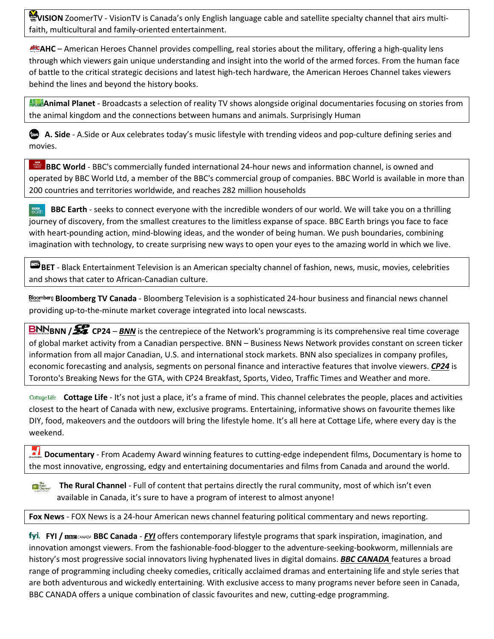**VISION** ZoomerTV - VisionTV is Canada's only English language cable and satellite specialty channel that airs multifaith, multicultural and family-oriented entertainment.

**AHC** – American Heroes Channel provides compelling, real stories about the military, offering a high-quality lens through which viewers gain unique understanding and insight into the world of the armed forces. From the human face of battle to the critical strategic decisions and latest high-tech hardware, the American Heroes Channel takes viewers behind the lines and beyond the history books.

**Animal Planet** - Broadcasts a selection of reality TV shows alongside original documentaries focusing on stories from the animal kingdom and the connections between humans and animals. Surprisingly Human

**A. Side** - A.Side or Aux celebrates today's music lifestyle with trending videos and pop-culture defining series and movies.

**BBC World** - BBC's commercially funded international 24-hour news and information channel, is owned and operated by BBC World Ltd, a member of the BBC's commercial group of companies. BBC World is available in more than 200 countries and territories worldwide, and reaches 282 million households

**BBC Earth** - seeks to connect everyone with the incredible wonders of our world. We will take you on a thrilling **ass**<br>earth journey of discovery, from the smallest creatures to the limitless expanse of space. BBC Earth brings you face to face with heart-pounding action, mind-blowing ideas, and the wonder of being human. We push boundaries, combining imagination with technology, to create surprising new ways to open your eyes to the amazing world in which we live.

**BET** - Black Entertainment Television is an American specialty channel of fashion, news, music, movies, celebrities and shows that cater to African-Canadian culture.

**Bloomberg TV Canada** - Bloomberg Television is a sophisticated 24-hour business and financial news channel providing up-to-the-minute market coverage integrated into local newscasts.

**BNN BNN /**  $\frac{52}{100}$  **CP24** – *BNN* is the centrepiece of the Network's programming is its comprehensive real time coverage of global market activity from a Canadian perspective. BNN – Business News Network provides constant on screen ticker information from all major Canadian, U.S. and international stock markets. BNN also specializes in company profiles, economic forecasting and analysis, segments on personal finance and interactive features that involve viewers. *CP24* is Toronto's Breaking News for the GTA, with CP24 Breakfast, Sports, Video, Traffic Times and Weather and more.

**Cottage Life** - It's not just a place, it's a frame of mind. This channel celebrates the people, places and activities closest to the heart of Canada with new, exclusive programs. Entertaining, informative shows on favourite themes like DIY, food, makeovers and the outdoors will bring the lifestyle home. It's all here at Cottage Life, where every day is the weekend.

**Documentary** - From Academy Award winning features to cutting-edge independent films, Documentary is home to the most innovative, engrossing, edgy and entertaining documentaries and films from Canada and around the world.

**The Rural Channel** - Full of content that pertains directly the rural community, most of which isn't even The<br>**Ma** Rural<br>Channel available in Canada, it's sure to have a program of interest to almost anyone!

**Fox News** - FOX News is a 24-hour American news channel featuring political commentary and news reporting.

**FYI / BBC Canada** - *FYI* offers contemporary lifestyle programs that spark inspiration, imagination, and innovation amongst viewers. From the fashionable-food-blogger to the adventure-seeking-bookworm, millennials are history's most progressive social innovators living hyphenated lives in digital domains. *BBC CANADA* features a broad range of programming including cheeky comedies, critically acclaimed dramas and entertaining life and style series that are both adventurous and wickedly entertaining. With exclusive access to many programs never before seen in Canada, BBC CANADA offers a unique combination of classic favourites and new, cutting-edge programming.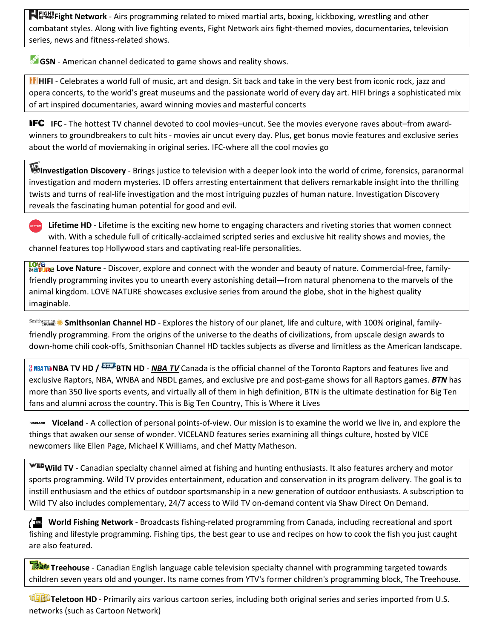**Fight Network** - Airs programming related to mixed martial arts, boxing, kickboxing, wrestling and other combatant styles. Along with live fighting events, Fight Network airs fight-themed movies, documentaries, television series, news and fitness-related shows.

**GSN** - American channel dedicated to game shows and reality shows.

**HIFI** - Celebrates a world full of music, art and design. Sit back and take in the very best from iconic rock, jazz and opera concerts, to the world's great museums and the passionate world of every day art. HIFI brings a sophisticated mix of art inspired documentaries, award winning movies and masterful concerts

**IFC** IFC - The hottest TV channel devoted to cool movies–uncut. See the movies everyone raves about–from awardwinners to groundbreakers to cult hits - movies air uncut every day. Plus, get bonus movie features and exclusive series about the world of moviemaking in original series. IFC-where all the cool movies go

**Investigation Discovery** - Brings justice to television with a deeper look into the world of crime, forensics, paranormal investigation and modern mysteries. ID offers arresting entertainment that delivers remarkable insight into the thrilling twists and turns of real-life investigation and the most intriguing puzzles of human nature. Investigation Discovery reveals the fascinating human potential for good and evil*.*

**Lifetime HD** - Lifetime is the exciting new home to engaging characters and riveting stories that women connect with. With a schedule full of critically-acclaimed scripted series and exclusive hit reality shows and movies, the channel features top Hollywood stars and captivating real-life personalities.

Love<br>Nature Love Nature - Discover, explore and connect with the wonder and beauty of nature. Commercial-free, familyfriendly programming invites you to unearth every astonishing detail—from natural phenomena to the marvels of the animal kingdom. LOVE NATURE showcases exclusive series from around the globe, shot in the highest quality imaginable.

**Smithsonian Channel HD** - Explores the history of our planet, life and culture, with 100% original, familyfriendly programming. From the origins of the universe to the deaths of civilizations, from upscale design awards to down-home chili cook-offs, Smithsonian Channel HD tackles subjects as diverse and limitless as the American landscape.

**NBA TWNBA TV HD / BTH BTN HD - NBA TV** Canada is the official channel of the Toronto Raptors and features live and exclusive Raptors, NBA, WNBA and NBDL games, and exclusive pre and post-game shows for all Raptors games. *BTN* has more than 350 live sports events, and virtually all of them in high definition, BTN is the ultimate destination for Big Ten fans and alumni across the country. This is Big Ten Country, This is Where it Lives

**Viceland** - A collection of personal points-of-view. Our mission is to examine the world we live in, and explore the things that awaken our sense of wonder. VICELAND features series examining all things culture, hosted by VICE newcomers like Ellen Page, Michael K Williams, and chef Matty Matheson.

**Wild TV** - Canadian specialty channel aimed at fishing and hunting enthusiasts. It also features archery and motor sports programming. Wild TV provides entertainment, education and conservation in its program delivery. The goal is to instill enthusiasm and the ethics of outdoor sportsmanship in a new generation of outdoor enthusiasts. A subscription to Wild TV also includes complementary, 24/7 access to Wild TV on-demand content via [Shaw Direct On Demand.](https://thepipe.sjrb.ca/external-link.jspa?url=https%3A%2F%2Fshawdirect.vod.shaw.ca%2Ftv%2FWildTV%2F)

**World Fishing Network** - Broadcasts fishing-related programming from Canada, including recreational and sport fishing and lifestyle programming. Fishing tips, the best gear to use and recipes on how to cook the fish you just caught are also featured.

**Tribut** Treehouse - Canadian English language cable television specialty channel with programming targeted towards children seven years old and younger. Its name comes from YTV's former children's programming block, The Treehouse.

**Teletoon HD** - Primarily airs various cartoon series, including both original series and series imported from U.S. networks (such as Cartoon Network)